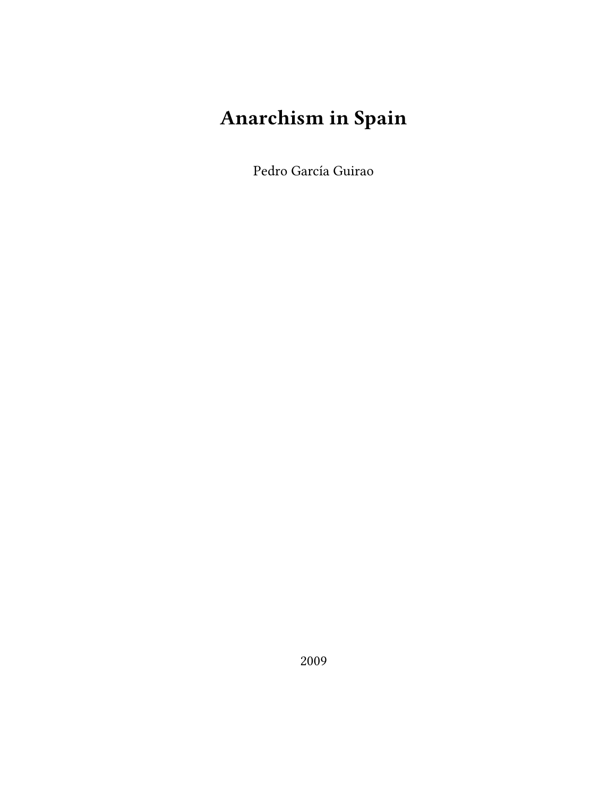## **Anarchism in Spain**

Pedro García Guirao

2009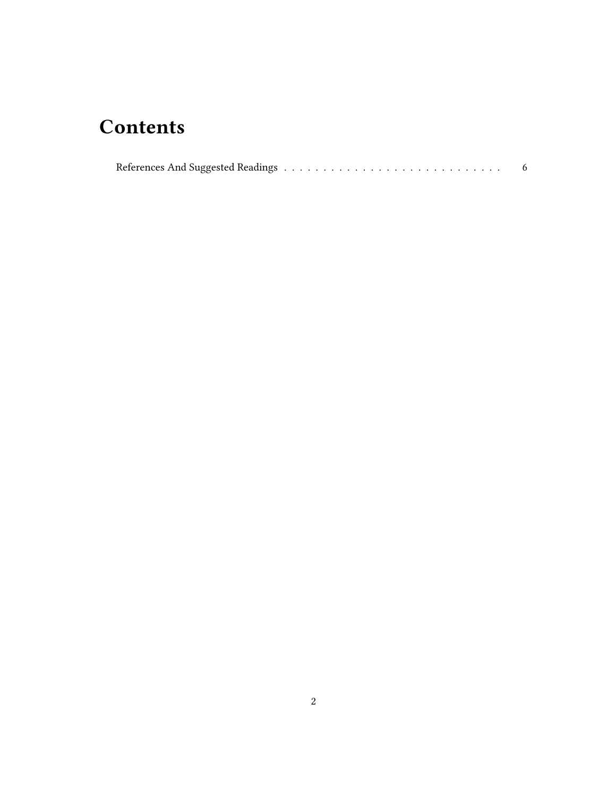## **Contents**

| References And Suggested Readings $\ldots \ldots \ldots \ldots \ldots \ldots \ldots \ldots \ldots \ldots$ |  |  |
|-----------------------------------------------------------------------------------------------------------|--|--|
|-----------------------------------------------------------------------------------------------------------|--|--|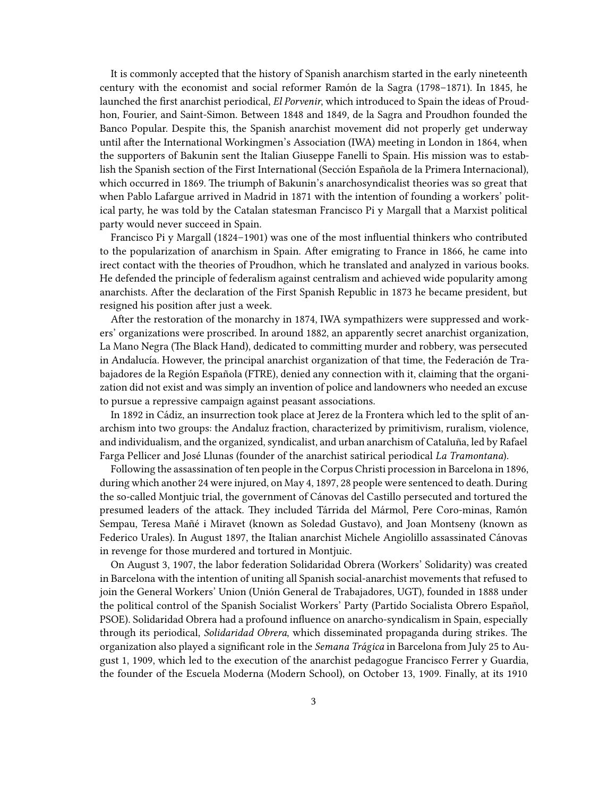It is commonly accepted that the history of Spanish anarchism started in the early nineteenth century with the economist and social reformer Ramón de la Sagra (1798–1871). In 1845, he launched the first anarchist periodical, *El Porvenir*, which introduced to Spain the ideas of Proudhon, Fourier, and Saint-Simon. Between 1848 and 1849, de la Sagra and Proudhon founded the Banco Popular. Despite this, the Spanish anarchist movement did not properly get underway until after the International Workingmen's Association (IWA) meeting in London in 1864, when the supporters of Bakunin sent the Italian Giuseppe Fanelli to Spain. His mission was to establish the Spanish section of the First International (Sección Española de la Primera Internacional), which occurred in 1869. The triumph of Bakunin's anarchosyndicalist theories was so great that when Pablo Lafargue arrived in Madrid in 1871 with the intention of founding a workers' political party, he was told by the Catalan statesman Francisco Pi y Margall that a Marxist political party would never succeed in Spain.

Francisco Pi y Margall (1824–1901) was one of the most influential thinkers who contributed to the popularization of anarchism in Spain. After emigrating to France in 1866, he came into irect contact with the theories of Proudhon, which he translated and analyzed in various books. He defended the principle of federalism against centralism and achieved wide popularity among anarchists. After the declaration of the First Spanish Republic in 1873 he became president, but resigned his position after just a week.

After the restoration of the monarchy in 1874, IWA sympathizers were suppressed and workers' organizations were proscribed. In around 1882, an apparently secret anarchist organization, La Mano Negra (The Black Hand), dedicated to committing murder and robbery, was persecuted in Andalucía. However, the principal anarchist organization of that time, the Federación de Trabajadores de la Región Española (FTRE), denied any connection with it, claiming that the organization did not exist and was simply an invention of police and landowners who needed an excuse to pursue a repressive campaign against peasant associations.

In 1892 in Cádiz, an insurrection took place at Jerez de la Frontera which led to the split of anarchism into two groups: the Andaluz fraction, characterized by primitivism, ruralism, violence, and individualism, and the organized, syndicalist, and urban anarchism of Cataluña, led by Rafael Farga Pellicer and José Llunas (founder of the anarchist satirical periodical *La Tramontana*).

Following the assassination of ten people in the Corpus Christi procession in Barcelona in 1896, during which another 24 were injured, on May 4, 1897, 28 people were sentenced to death. During the so-called Montjuic trial, the government of Cánovas del Castillo persecuted and tortured the presumed leaders of the attack. They included Tárrida del Mármol, Pere Coro-minas, Ramón Sempau, Teresa Mañé i Miravet (known as Soledad Gustavo), and Joan Montseny (known as Federico Urales). In August 1897, the Italian anarchist Michele Angiolillo assassinated Cánovas in revenge for those murdered and tortured in Montjuic.

On August 3, 1907, the labor federation Solidaridad Obrera (Workers' Solidarity) was created in Barcelona with the intention of uniting all Spanish social-anarchist movements that refused to join the General Workers' Union (Unión General de Trabajadores, UGT), founded in 1888 under the political control of the Spanish Socialist Workers' Party (Partido Socialista Obrero Español, PSOE). Solidaridad Obrera had a profound influence on anarcho-syndicalism in Spain, especially through its periodical, *Solidaridad Obrera*, which disseminated propaganda during strikes. The organization also played a significant role in the *Semana Trágica* in Barcelona from July 25 to August 1, 1909, which led to the execution of the anarchist pedagogue Francisco Ferrer y Guardia, the founder of the Escuela Moderna (Modern School), on October 13, 1909. Finally, at its 1910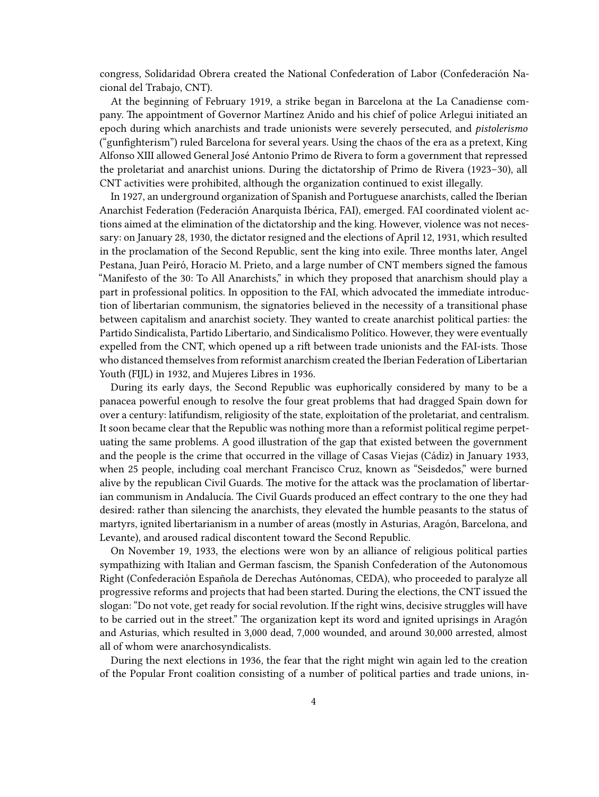congress, Solidaridad Obrera created the National Confederation of Labor (Confederación Nacional del Trabajo, CNT).

At the beginning of February 1919, a strike began in Barcelona at the La Canadiense company. The appointment of Governor Martínez Anido and his chief of police Arlegui initiated an epoch during which anarchists and trade unionists were severely persecuted, and *pistolerismo* ("gunfighterism") ruled Barcelona for several years. Using the chaos of the era as a pretext, King Alfonso XIII allowed General José Antonio Primo de Rivera to form a government that repressed the proletariat and anarchist unions. During the dictatorship of Primo de Rivera (1923–30), all CNT activities were prohibited, although the organization continued to exist illegally.

In 1927, an underground organization of Spanish and Portuguese anarchists, called the Iberian Anarchist Federation (Federación Anarquista Ibérica, FAI), emerged. FAI coordinated violent actions aimed at the elimination of the dictatorship and the king. However, violence was not necessary: on January 28, 1930, the dictator resigned and the elections of April 12, 1931, which resulted in the proclamation of the Second Republic, sent the king into exile. Three months later, Angel Pestana, Juan Peiró, Horacio M. Prieto, and a large number of CNT members signed the famous "Manifesto of the 30: To All Anarchists," in which they proposed that anarchism should play a part in professional politics. In opposition to the FAI, which advocated the immediate introduction of libertarian communism, the signatories believed in the necessity of a transitional phase between capitalism and anarchist society. They wanted to create anarchist political parties: the Partido Sindicalista, Partido Libertario, and Sindicalismo Político. However, they were eventually expelled from the CNT, which opened up a rift between trade unionists and the FAI-ists. Those who distanced themselves from reformist anarchism created the Iberian Federation of Libertarian Youth (FIJL) in 1932, and Mujeres Libres in 1936.

During its early days, the Second Republic was euphorically considered by many to be a panacea powerful enough to resolve the four great problems that had dragged Spain down for over a century: latifundism, religiosity of the state, exploitation of the proletariat, and centralism. It soon became clear that the Republic was nothing more than a reformist political regime perpetuating the same problems. A good illustration of the gap that existed between the government and the people is the crime that occurred in the village of Casas Viejas (Cádiz) in January 1933, when 25 people, including coal merchant Francisco Cruz, known as "Seisdedos," were burned alive by the republican Civil Guards. The motive for the attack was the proclamation of libertarian communism in Andalucía. The Civil Guards produced an effect contrary to the one they had desired: rather than silencing the anarchists, they elevated the humble peasants to the status of martyrs, ignited libertarianism in a number of areas (mostly in Asturias, Aragón, Barcelona, and Levante), and aroused radical discontent toward the Second Republic.

On November 19, 1933, the elections were won by an alliance of religious political parties sympathizing with Italian and German fascism, the Spanish Confederation of the Autonomous Right (Confederación Española de Derechas Autónomas, CEDA), who proceeded to paralyze all progressive reforms and projects that had been started. During the elections, the CNT issued the slogan: "Do not vote, get ready for social revolution. If the right wins, decisive struggles will have to be carried out in the street." The organization kept its word and ignited uprisings in Aragón and Asturias, which resulted in 3,000 dead, 7,000 wounded, and around 30,000 arrested, almost all of whom were anarchosyndicalists.

During the next elections in 1936, the fear that the right might win again led to the creation of the Popular Front coalition consisting of a number of political parties and trade unions, in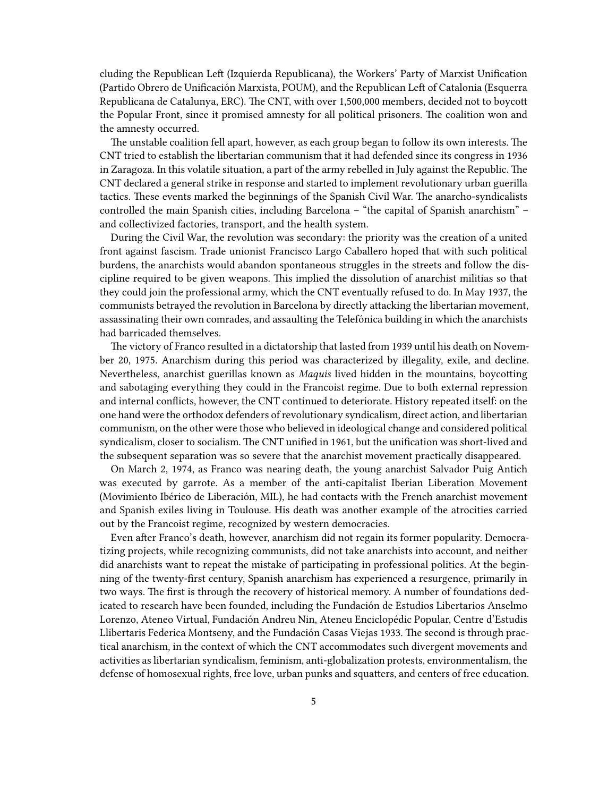cluding the Republican Left (Izquierda Republicana), the Workers' Party of Marxist Unification (Partido Obrero de Unificación Marxista, POUM), and the Republican Left of Catalonia (Esquerra Republicana de Catalunya, ERC). The CNT, with over 1,500,000 members, decided not to boycott the Popular Front, since it promised amnesty for all political prisoners. The coalition won and the amnesty occurred.

The unstable coalition fell apart, however, as each group began to follow its own interests. The CNT tried to establish the libertarian communism that it had defended since its congress in 1936 in Zaragoza. In this volatile situation, a part of the army rebelled in July against the Republic. The CNT declared a general strike in response and started to implement revolutionary urban guerilla tactics. These events marked the beginnings of the Spanish Civil War. The anarcho-syndicalists controlled the main Spanish cities, including Barcelona – "the capital of Spanish anarchism" – and collectivized factories, transport, and the health system.

During the Civil War, the revolution was secondary: the priority was the creation of a united front against fascism. Trade unionist Francisco Largo Caballero hoped that with such political burdens, the anarchists would abandon spontaneous struggles in the streets and follow the discipline required to be given weapons. This implied the dissolution of anarchist militias so that they could join the professional army, which the CNT eventually refused to do. In May 1937, the communists betrayed the revolution in Barcelona by directly attacking the libertarian movement, assassinating their own comrades, and assaulting the Telefónica building in which the anarchists had barricaded themselves.

The victory of Franco resulted in a dictatorship that lasted from 1939 until his death on November 20, 1975. Anarchism during this period was characterized by illegality, exile, and decline. Nevertheless, anarchist guerillas known as *Maquis* lived hidden in the mountains, boycotting and sabotaging everything they could in the Francoist regime. Due to both external repression and internal conflicts, however, the CNT continued to deteriorate. History repeated itself: on the one hand were the orthodox defenders of revolutionary syndicalism, direct action, and libertarian communism, on the other were those who believed in ideological change and considered political syndicalism, closer to socialism. The CNT unified in 1961, but the unification was short-lived and the subsequent separation was so severe that the anarchist movement practically disappeared.

On March 2, 1974, as Franco was nearing death, the young anarchist Salvador Puig Antich was executed by garrote. As a member of the anti-capitalist Iberian Liberation Movement (Movimiento Ibérico de Liberación, MIL), he had contacts with the French anarchist movement and Spanish exiles living in Toulouse. His death was another example of the atrocities carried out by the Francoist regime, recognized by western democracies.

Even after Franco's death, however, anarchism did not regain its former popularity. Democratizing projects, while recognizing communists, did not take anarchists into account, and neither did anarchists want to repeat the mistake of participating in professional politics. At the beginning of the twenty-first century, Spanish anarchism has experienced a resurgence, primarily in two ways. The first is through the recovery of historical memory. A number of foundations dedicated to research have been founded, including the Fundación de Estudios Libertarios Anselmo Lorenzo, Ateneo Virtual, Fundación Andreu Nin, Ateneu Enciclopédic Popular, Centre d'Estudis Llibertaris Federica Montseny, and the Fundación Casas Viejas 1933. The second is through practical anarchism, in the context of which the CNT accommodates such divergent movements and activities as libertarian syndicalism, feminism, anti-globalization protests, environmentalism, the defense of homosexual rights, free love, urban punks and squatters, and centers of free education.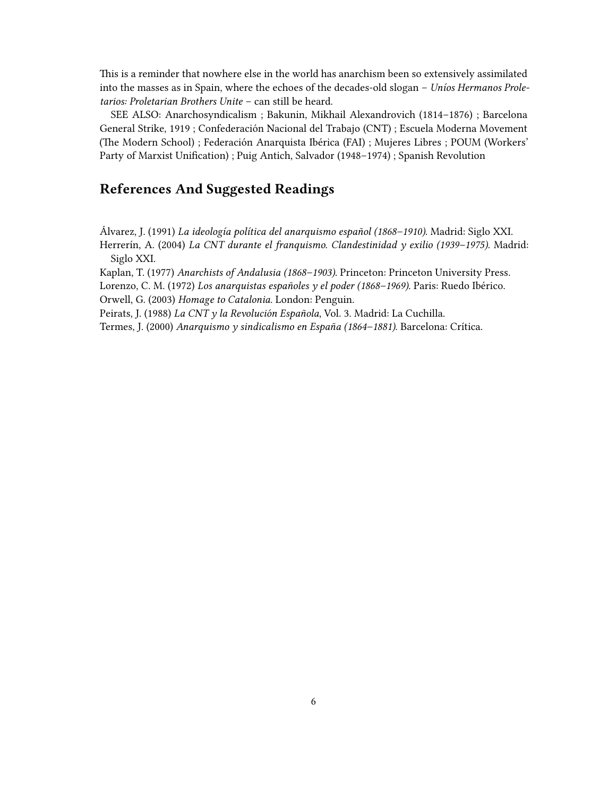This is a reminder that nowhere else in the world has anarchism been so extensively assimilated into the masses as in Spain, where the echoes of the decades-old slogan – *Uníos Hermanos Proletarios: Proletarian Brothers Unite* – can still be heard.

SEE ALSO: Anarchosyndicalism ; Bakunin, Mikhail Alexandrovich (1814–1876) ; Barcelona General Strike, 1919 ; Confederación Nacional del Trabajo (CNT) ; Escuela Moderna Movement (The Modern School) ; Federación Anarquista Ibérica (FAI) ; Mujeres Libres ; POUM (Workers' Party of Marxist Unification) ; Puig Antich, Salvador (1948–1974) ; Spanish Revolution

## <span id="page-5-0"></span>**References And Suggested Readings**

Álvarez, J. (1991) *La ideología política del anarquismo español (1868–1910)*. Madrid: Siglo XXI.

Herrerín, A. (2004) *La CNT durante el franquismo. Clandestinidad y exilio (1939–1975)*. Madrid: Siglo XXI.

Kaplan, T. (1977) *Anarchists of Andalusia (1868–1903)*. Princeton: Princeton University Press. Lorenzo, C. M. (1972) *Los anarquistas españoles y el poder (1868–1969)*. Paris: Ruedo Ibérico.

Orwell, G. (2003) *Homage to Catalonia*. London: Penguin.

Peirats, J. (1988) *La CNT y la Revolución Española*, Vol. 3. Madrid: La Cuchilla.

Termes, J. (2000) *Anarquismo y sindicalismo en España (1864–1881)*. Barcelona: Crítica.